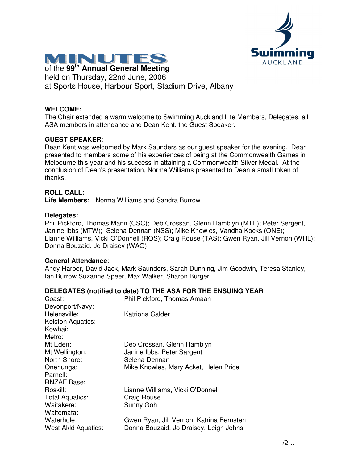



of the **99 th Annual General Meeting** held on Thursday, 22nd June, 2006 at Sports House, Harbour Sport, Stadium Drive, Albany

#### **WELCOME:**

The Chair extended a warm welcome to Swimming Auckland Life Members, Delegates, all ASA members in attendance and Dean Kent, the Guest Speaker.

## **GUEST SPEAKER**:

Dean Kent was welcomed by Mark Saunders as our guest speaker for the evening. Dean presented to members some of his experiences of being at the Commonwealth Games in Melbourne this year and his success in attaining a Commonwealth Silver Medal. At the conclusion of Dean's presentation, Norma Williams presented to Dean a small token of thanks.

### **ROLL CALL:**

**Life Members**: Norma Williams and Sandra Burrow

#### **Delegates:**

Phil Pickford, Thomas Mann (CSC); Deb Crossan, Glenn Hamblyn (MTE); Peter Sergent, Janine Ibbs (MTW); Selena Dennan (NSS); Mike Knowles, Vandha Kocks (ONE); Lianne Williams, Vicki O'Donnell (ROS); Craig Rouse (TAS); Gwen Ryan, Jill Vernon (WHL); Donna Bouzaid, Jo Draisey (WAQ)

#### **General Attendance**:

Andy Harper, David Jack, Mark Saunders, Sarah Dunning, Jim Goodwin, Teresa Stanley, Ian Burrow Suzanne Speer, Max Walker, Sharon Burger

#### **DELEGATES (notified to date) TO THE ASA FOR THE ENSUING YEAR**

| Coast:                     | Phil Pickford, Thomas Amaan              |
|----------------------------|------------------------------------------|
| Devonport/Navy:            |                                          |
| Helensville:               | Katriona Calder                          |
| <b>Kelston Aquatics:</b>   |                                          |
| Kowhai:                    |                                          |
| Metro:                     |                                          |
| Mt Eden:                   | Deb Crossan, Glenn Hamblyn               |
| Mt Wellington:             | Janine Ibbs, Peter Sargent               |
| North Shore:               | Selena Dennan                            |
| Onehunga:                  | Mike Knowles, Mary Acket, Helen Price    |
| Parnell:                   |                                          |
| <b>RNZAF Base:</b>         |                                          |
| Roskill:                   | Lianne Williams, Vicki O'Donnell         |
| Total Aquatics:            | <b>Craig Rouse</b>                       |
| Waitakere:                 | Sunny Goh                                |
| Waitemata:                 |                                          |
| Waterhole:                 | Gwen Ryan, Jill Vernon, Katrina Bernsten |
| <b>West Akld Aquatics:</b> | Donna Bouzaid, Jo Draisey, Leigh Johns   |
|                            |                                          |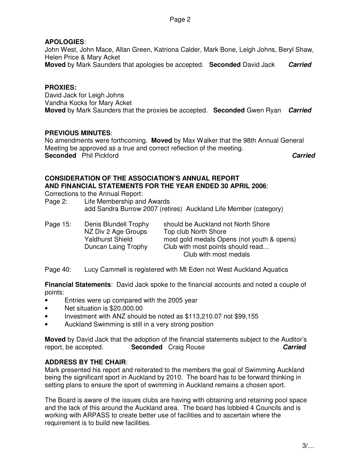## **APOLOGIES**:

John West, John Mace, Allan Green, Katriona Calder, Mark Bone, Leigh Johns, Beryl Shaw, Helen Price & Mary Acket **Moved** by Mark Saunders that apologies be accepted. **Seconded** David Jack *Carried*

## **PROXIES:**

David Jack for Leigh Johns Vandha Kocks for Mary Acket **Moved** by Mark Saunders that the proxies be accepted. **Seconded** Gwen Ryan *Carried*

## **PREVIOUS MINUTES**:

No amendments were forthcoming. **Moved** by Max Walker that the 98th Annual General Meeting be approved as a true and correct reflection of the meeting. **Seconded** Phil Pickford *Carried*

## **CONSIDERATION OF THE ASSOCIATION'S ANNUAL REPORT AND FINANCIAL STATEMENTS FOR THE YEAR ENDED 30 APRIL 2006**:

Corrections to the Annual Report:

Page 2: Life Membership and Awards add Sandra Burrow 2007 (retires) Auckland Life Member (category)

| Page 15: | Denis Blundell Trophy<br>NZ Div 2 Age Groups<br><b>Yaldhurst Shield</b><br>Duncan Laing Trophy | should be Auckland not North Shore<br>Top club North Shore<br>most gold medals Opens (not youth & opens)<br>Club with most points should read |
|----------|------------------------------------------------------------------------------------------------|-----------------------------------------------------------------------------------------------------------------------------------------------|
|          |                                                                                                | Club with most medals                                                                                                                         |

Page 40: Lucy Cammell is registered with Mt Eden not West Auckland Aquatics

**Financial Statements**: David Jack spoke to the financial accounts and noted a couple of points:

- Entries were up compared with the 2005 year
- Net situation is \$20,000.00
- Investment with ANZ should be noted as \$113,210.07 not \$99,155
- Auckland Swimming is still in a very strong position

**Moved** by David Jack that the adoption of the financial statements subject to the Auditor's report, be accepted. **Seconded** Craig Rouse *Carried*

## **ADDRESS BY THE CHAIR**:

Mark presented his report and reiterated to the members the goal of Swimming Auckland being the significant sport in Auckland by 2010. The board has to be forward thinking in setting plans to ensure the sport of swimming in Auckland remains a chosen sport.

The Board is aware of the issues clubs are having with obtaining and retaining pool space and the lack of this around the Auckland area. The board has lobbied 4 Councils and is working with ARPASS to create better use of facilities and to ascertain where the requirement is to build new facilities.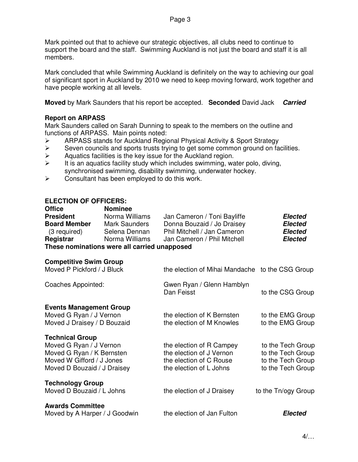Mark pointed out that to achieve our strategic objectives, all clubs need to continue to support the board and the staff. Swimming Auckland is not just the board and staff it is all members.

Mark concluded that while Swimming Auckland is definitely on the way to achieving our goal of significant sport in Auckland by 2010 we need to keep moving forward, work together and have people working at all levels.

**Moved** by Mark Saunders that his report be accepted. **Seconded** David Jack *Carried*

### **Report on ARPASS**

Mark Saunders called on Sarah Dunning to speak to the members on the outline and functions of ARPASS. Main points noted:

- $\geq$  ARPASS stands for Auckland Regional Physical Activity & Sport Strategy<br>  $\geq$  Seven councils and sports trusts trying to get some common ground on fa
- Seven councils and sports trusts trying to get some common ground on facilities.
- $\triangleright$  Aquatics facilities is the key issue for the Auckland region.
- $\triangleright$  It is an aquatics facility study which includes swimming, water polo, diving, synchronised swimming, disability swimming, underwater hockey.
- $\triangleright$  Consultant has been employed to do this work.

#### **ELECTION OF OFFICERS:**

| <b>Office</b>                                | <b>Nominee</b> |                             |                |  |  |
|----------------------------------------------|----------------|-----------------------------|----------------|--|--|
| <b>President</b>                             | Norma Williams | Jan Cameron / Toni Bayliffe | <b>Elected</b> |  |  |
| <b>Board Member</b>                          | Mark Saunders  | Donna Bouzaid / Jo Draisey  | <b>Elected</b> |  |  |
| (3 required)                                 | Selena Dennan  | Phil Mitchell / Jan Cameron | <b>Elected</b> |  |  |
| Registrar                                    | Norma Williams | Jan Cameron / Phil Mitchell | <b>Elected</b> |  |  |
| These nominations were all carried unapposed |                |                             |                |  |  |

### **These nominations were all carried unapposed**

| <b>Competitive Swim Group</b><br>Moved P Pickford / J Bluck                                                                                | the election of Mihai Mandache to the CSG Group                                                            |                                                                                  |
|--------------------------------------------------------------------------------------------------------------------------------------------|------------------------------------------------------------------------------------------------------------|----------------------------------------------------------------------------------|
| Coaches Appointed:                                                                                                                         | Gwen Ryan / Glenn Hamblyn<br>Dan Feisst                                                                    | to the CSG Group                                                                 |
| <b>Events Management Group</b><br>Moved G Ryan / J Vernon<br>Moved J Draisey / D Bouzaid                                                   | the election of K Bernsten<br>the election of M Knowles                                                    | to the EMG Group<br>to the EMG Group                                             |
| <b>Technical Group</b><br>Moved G Ryan / J Vernon<br>Moved G Ryan / K Bernsten<br>Moved W Gifford / J Jones<br>Moved D Bouzaid / J Draisey | the election of R Campey<br>the election of J Vernon<br>the election of C Rouse<br>the election of L Johns | to the Tech Group<br>to the Tech Group<br>to the Tech Group<br>to the Tech Group |
| <b>Technology Group</b><br>Moved D Bouzaid / L Johns                                                                                       | the election of J Draisey                                                                                  | to the Tn/ogy Group                                                              |
| <b>Awards Committee</b><br>Moved by A Harper / J Goodwin                                                                                   | the election of Jan Fulton                                                                                 | Elected                                                                          |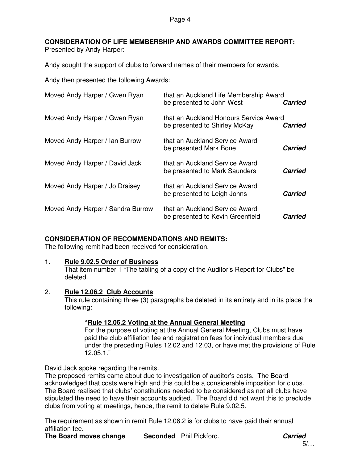Page 4

## **CONSIDERATION OF LIFE MEMBERSHIP AND AWARDS COMMITTEE REPORT:**

Presented by Andy Harper:

Andy sought the support of clubs to forward names of their members for awards.

Andy then presented the following Awards:

| Moved Andy Harper / Gwen Ryan     | that an Auckland Life Membership Award<br>be presented to John West     | <b>Carried</b> |
|-----------------------------------|-------------------------------------------------------------------------|----------------|
| Moved Andy Harper / Gwen Ryan     | that an Auckland Honours Service Award<br>be presented to Shirley McKay | <b>Carried</b> |
| Moved Andy Harper / Ian Burrow    | that an Auckland Service Award<br>be presented Mark Bone                | <b>Carried</b> |
| Moved Andy Harper / David Jack    | that an Auckland Service Award<br>be presented to Mark Saunders         | <b>Carried</b> |
| Moved Andy Harper / Jo Draisey    | that an Auckland Service Award<br>be presented to Leigh Johns           | <b>Carried</b> |
| Moved Andy Harper / Sandra Burrow | that an Auckland Service Award<br>be presented to Kevin Greenfield      | <b>Carried</b> |

## **CONSIDERATION OF RECOMMENDATIONS AND REMITS:**

The following remit had been received for consideration.

## 1. **Rule 9.02.5 Order of Business**

That item number 1 "The tabling of a copy of the Auditor's Report for Clubs" be deleted.

## 2. **Rule 12.06.2 Club Accounts**

This rule containing three (3) paragraphs be deleted in its entirety and in its place the following:

## **"Rule 12.06.2 Voting at the Annual General Meeting**

For the purpose of voting at the Annual General Meeting, Clubs must have paid the club affiliation fee and registration fees for individual members due under the preceding Rules 12.02 and 12.03, or have met the provisions of Rule 12.05.1."

David Jack spoke regarding the remits.

The proposed remits came about due to investigation of auditor's costs. The Board acknowledged that costs were high and this could be a considerable imposition for clubs. The Board realised that clubs' constitutions needed to be considered as not all clubs have stipulated the need to have their accounts audited. The Board did not want this to preclude clubs from voting at meetings, hence, the remit to delete Rule 9.02.5.

The requirement as shown in remit Rule 12.06.2 is for clubs to have paid their annual affiliation fee.

**The Board moves change Seconded** Phil Pickford. *Carried*